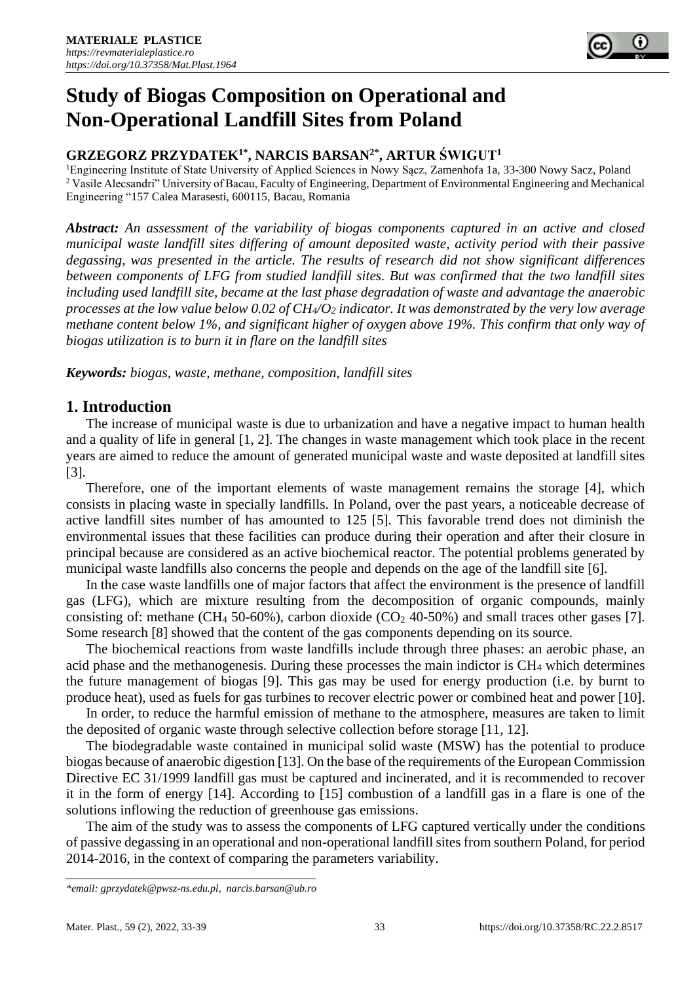# **Study of Biogas Composition on Operational and Non-Operational Landfill Sites from Poland**

## **GRZEGORZ PRZYDATEK1\*, NARCIS BARSAN2\*, ARTUR ŚWIGUT<sup>1</sup>**

<sup>1</sup>Engineering Institute of State University of Applied Sciences in Nowy Sącz, Zamenhofa 1a, 33-300 Nowy Sacz, Poland <sup>2</sup> Vasile Alecsandri" University of Bacau, Faculty of Engineering, Department of Environmental Engineering and Mechanical Engineering "157 Calea Marasesti, 600115, Bacau, Romania

*Abstract: An assessment of the variability of biogas components captured in an active and closed municipal waste landfill sites differing of amount deposited waste, activity period with their passive degassing, was presented in the article. The results of research did not show significant differences between components of LFG from studied landfill sites. But was confirmed that the two landfill sites including used landfill site, became at the last phase degradation of waste and advantage the anaerobic processes at the low value below 0.02 of CH4/O<sup>2</sup> indicator. It was demonstrated by the very low average methane content below 1%, and significant higher of oxygen above 19%. This confirm that only way of biogas utilization is to burn it in flare on the landfill sites*

*Keywords: biogas, waste, methane, composition, landfill sites*

# **1. Introduction**

The increase of municipal waste is due to urbanization and have a negative impact to human health and a quality of life in general [1, 2]. The changes in waste management which took place in the recent years are aimed to reduce the amount of generated municipal waste and waste deposited at landfill sites [3].

Therefore, one of the important elements of waste management remains the storage [4], which consists in placing waste in specially landfills. In Poland, over the past years, a noticeable decrease of active landfill sites number of has amounted to 125 [5]. This favorable trend does not diminish the environmental issues that these facilities can produce during their operation and after their closure in principal because are considered as an active biochemical reactor. The potential problems generated by municipal waste landfills also concerns the people and depends on the age of the landfill site [6].

In the case waste landfills one of major factors that affect the environment is the presence of landfill gas (LFG), which are mixture resulting from the decomposition of organic compounds, mainly consisting of: methane (CH<sub>4</sub> 50-60%), carbon dioxide (CO<sub>2</sub> 40-50%) and small traces other gases [7]. Some research [8] showed that the content of the gas components depending on its source.

The biochemical reactions from waste landfills include through three phases: an aerobic phase, an acid phase and the methanogenesis. During these processes the main indictor is CH<sup>4</sup> which determines the future management of biogas [9]. This gas may be used for energy production (i.e. by burnt to produce heat), used as fuels for gas turbines to recover electric power or combined heat and power [10].

In order, to reduce the harmful emission of methane to the atmosphere, measures are taken to limit the deposited of organic waste through selective collection before storage [11, 12].

The biodegradable waste contained in municipal solid waste (MSW) has the potential to produce biogas because of anaerobic digestion [13]. On the base of the requirements of the European Commission Directive EC 31/1999 landfill gas must be captured and incinerated, and it is recommended to recover it in the form of energy [14]. According to [15] combustion of a landfill gas in a flare is one of the solutions inflowing the reduction of greenhouse gas emissions.

The aim of the study was to assess the components of LFG captured vertically under the conditions of passive degassing in an operational and non-operational landfill sites from southern Poland, for period 2014-2016, in the context of comparing the parameters variability.

*<sup>\*</sup>email[: gprzydatek@pwsz-ns.edu.pl,](mailto:gprzydatek@pwsz-ns.edu.pl) narcis.barsan@ub.ro*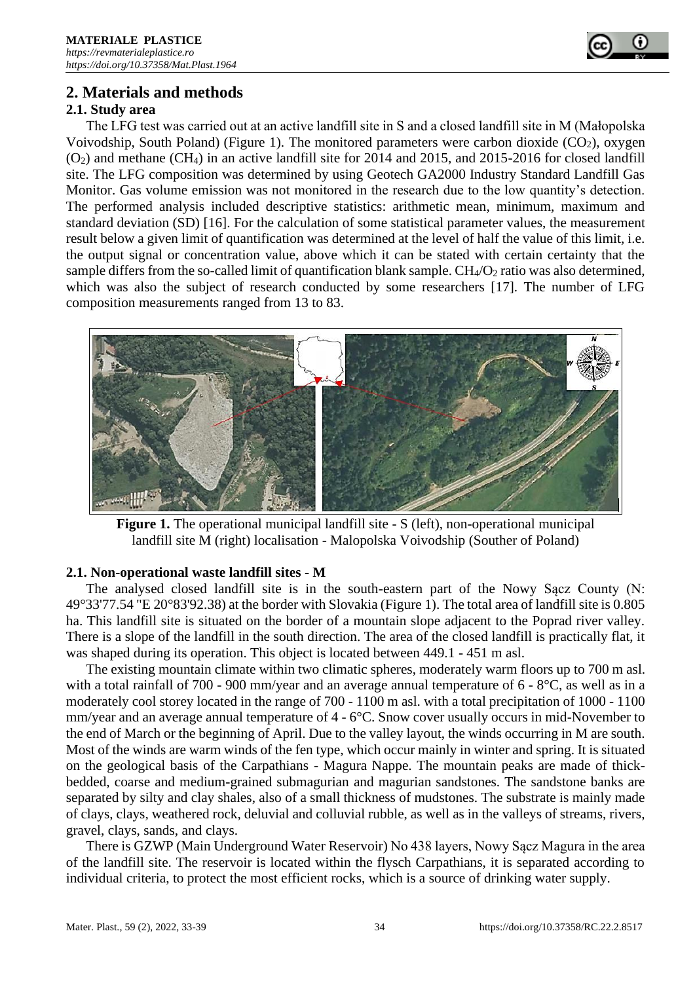

# **2. Materials and methods**

## **2.1. Study area**

The LFG test was carried out at an active landfill site in S and a closed landfill site in M (Małopolska Voivodship, South Poland) (Figure 1). The monitored parameters were carbon dioxide  $(CO<sub>2</sub>)$ , oxygen  $(O<sub>2</sub>)$  and methane  $(CH<sub>4</sub>)$  in an active landfill site for 2014 and 2015, and 2015-2016 for closed landfill site. The LFG composition was determined by using Geotech GA2000 Industry Standard Landfill Gas Monitor. Gas volume emission was not monitored in the research due to the low quantity's detection. The performed analysis included descriptive statistics: arithmetic mean, minimum, maximum and standard deviation (SD) [16]. For the calculation of some statistical parameter values, the measurement result below a given limit of quantification was determined at the level of half the value of this limit, i.e. the output signal or concentration value, above which it can be stated with certain certainty that the sample differs from the so-called limit of quantification blank sample.  $CH_4/O_2$  ratio was also determined, which was also the subject of research conducted by some researchers [17]. The number of LFG composition measurements ranged from 13 to 83.



**Figure 1.** The operational municipal landfill site - S (left), non-operational municipal landfill site M (right) localisation - Malopolska Voivodship (Souther of Poland)

#### **2.1. Non-operational waste landfill sites - M**

The analysed closed landfill site is in the south-eastern part of the Nowy Sącz County (N: 49°33'77.54 "E 20°83'92.38) at the border with Slovakia (Figure 1). The total area of landfill site is 0.805 ha. This landfill site is situated on the border of a mountain slope adjacent to the Poprad river valley. There is a slope of the landfill in the south direction. The area of the closed landfill is practically flat, it was shaped during its operation. This object is located between 449.1 - 451 m asl.

The existing mountain climate within two climatic spheres, moderately warm floors up to 700 m asl. with a total rainfall of 700 - 900 mm/year and an average annual temperature of 6 - 8°C, as well as in a moderately cool storey located in the range of 700 - 1100 m asl. with a total precipitation of 1000 - 1100 mm/year and an average annual temperature of 4 - 6°C. Snow cover usually occurs in mid-November to the end of March or the beginning of April. Due to the valley layout, the winds occurring in M are south. Most of the winds are warm winds of the fen type, which occur mainly in winter and spring. It is situated on the geological basis of the Carpathians - Magura Nappe. The mountain peaks are made of thickbedded, coarse and medium-grained submagurian and magurian sandstones. The sandstone banks are separated by silty and clay shales, also of a small thickness of mudstones. The substrate is mainly made of clays, clays, weathered rock, deluvial and colluvial rubble, as well as in the valleys of streams, rivers, gravel, clays, sands, and clays.

There is GZWP (Main Underground Water Reservoir) No 438 layers, Nowy Sącz Magura in the area of the landfill site. The reservoir is located within the flysch Carpathians, it is separated according to individual criteria, to protect the most efficient rocks, which is a source of drinking water supply.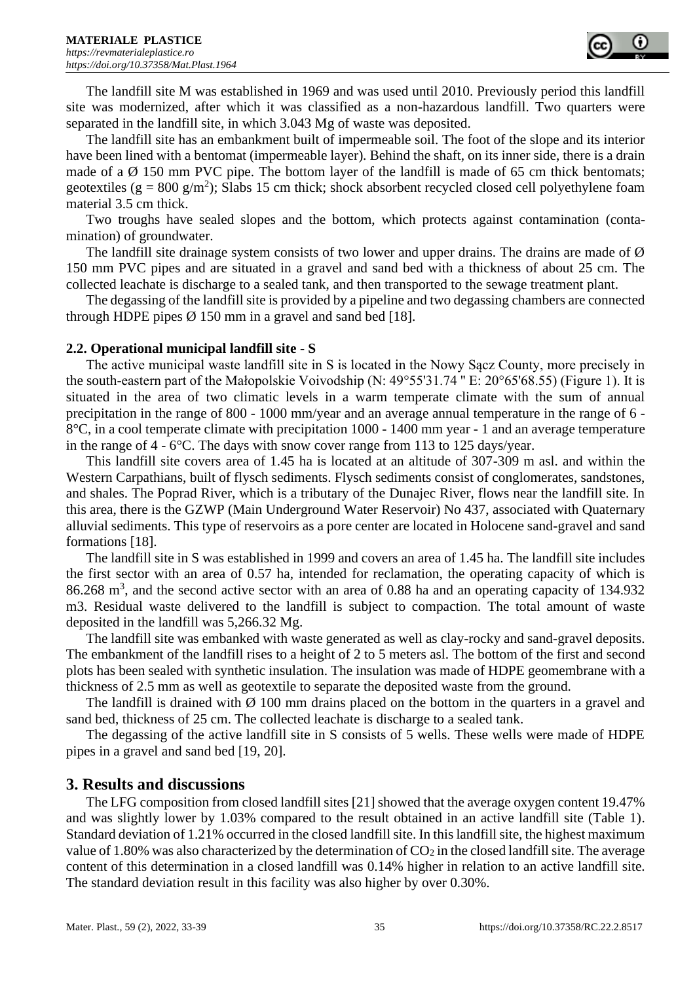

The landfill site M was established in 1969 and was used until 2010. Previously period this landfill site was modernized, after which it was classified as a non-hazardous landfill. Two quarters were separated in the landfill site, in which 3.043 Mg of waste was deposited.

The landfill site has an embankment built of impermeable soil. The foot of the slope and its interior have been lined with a bentomat (impermeable layer). Behind the shaft, on its inner side, there is a drain made of a  $\emptyset$  150 mm PVC pipe. The bottom layer of the landfill is made of 65 cm thick bentomats; geotextiles ( $g = 800$  g/m<sup>2</sup>); Slabs 15 cm thick; shock absorbent recycled closed cell polyethylene foam material 3.5 cm thick.

Two troughs have sealed slopes and the bottom, which protects against contamination (contamination) of groundwater.

The landfill site drainage system consists of two lower and upper drains. The drains are made of  $\emptyset$ 150 mm PVC pipes and are situated in a gravel and sand bed with a thickness of about 25 cm. The collected leachate is discharge to a sealed tank, and then transported to the sewage treatment plant.

The degassing of the landfill site is provided by a pipeline and two degassing chambers are connected through HDPE pipes  $\varnothing$  150 mm in a gravel and sand bed [18].

#### **2.2. Operational municipal landfill site - S**

The active municipal waste landfill site in S is located in the Nowy Sącz County, more precisely in the south-eastern part of the Małopolskie Voivodship (N: 49°55'31.74 '' E: 20°65'68.55) (Figure 1). It is situated in the area of two climatic levels in a warm temperate climate with the sum of annual precipitation in the range of 800 - 1000 mm/year and an average annual temperature in the range of 6 - 8°C, in a cool temperate climate with precipitation 1000 - 1400 mm year - 1 and an average temperature in the range of 4 - 6°C. The days with snow cover range from 113 to 125 days/year.

This landfill site covers area of 1.45 ha is located at an altitude of 307-309 m asl. and within the Western Carpathians, built of flysch sediments. Flysch sediments consist of conglomerates, sandstones, and shales. The Poprad River, which is a tributary of the Dunajec River, flows near the landfill site. In this area, there is the GZWP (Main Underground Water Reservoir) No 437, associated with Quaternary alluvial sediments. This type of reservoirs as a pore center are located in Holocene sand-gravel and sand formations [18].

The landfill site in S was established in 1999 and covers an area of 1.45 ha. The landfill site includes the first sector with an area of 0.57 ha, intended for reclamation, the operating capacity of which is 86.268 m<sup>3</sup>, and the second active sector with an area of 0.88 ha and an operating capacity of 134.932 m3. Residual waste delivered to the landfill is subject to compaction. The total amount of waste deposited in the landfill was 5,266.32 Mg.

The landfill site was embanked with waste generated as well as clay-rocky and sand-gravel deposits. The embankment of the landfill rises to a height of 2 to 5 meters asl. The bottom of the first and second plots has been sealed with synthetic insulation. The insulation was made of HDPE geomembrane with a thickness of 2.5 mm as well as geotextile to separate the deposited waste from the ground.

The landfill is drained with  $\varnothing$  100 mm drains placed on the bottom in the quarters in a gravel and sand bed, thickness of 25 cm. The collected leachate is discharge to a sealed tank.

The degassing of the active landfill site in S consists of 5 wells. These wells were made of HDPE pipes in a gravel and sand bed [19, 20].

#### **3. Results and discussions**

The LFG composition from closed landfill sites [21] showed that the average oxygen content 19.47% and was slightly lower by 1.03% compared to the result obtained in an active landfill site (Table 1). Standard deviation of 1.21% occurred in the closed landfill site. In this landfill site, the highest maximum value of 1.80% was also characterized by the determination of  $CO<sub>2</sub>$  in the closed landfill site. The average content of this determination in a closed landfill was 0.14% higher in relation to an active landfill site. The standard deviation result in this facility was also higher by over 0.30%.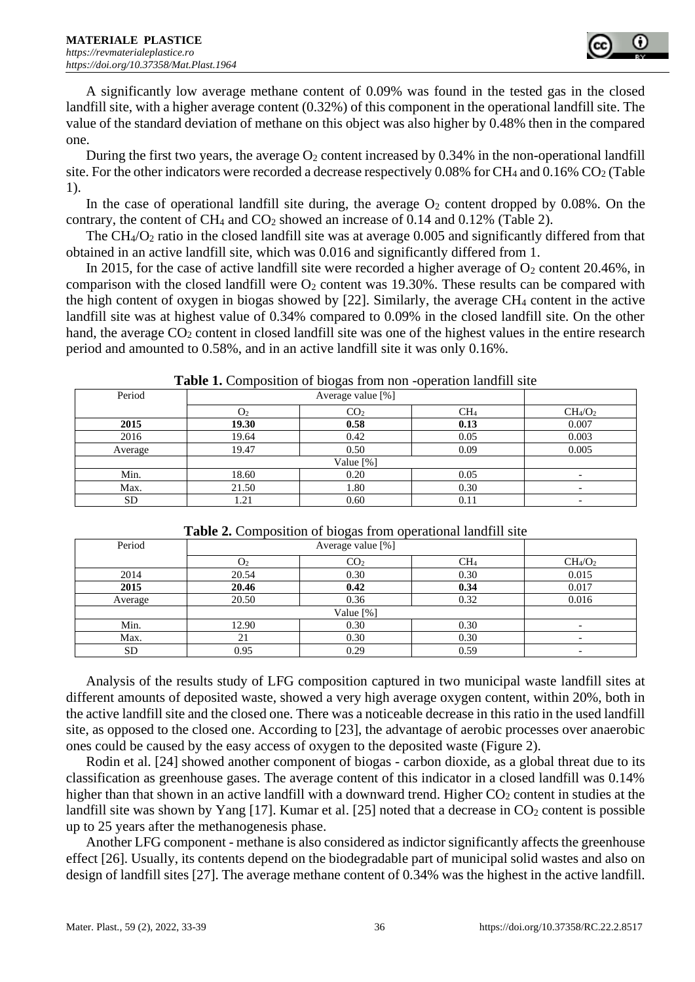

A significantly low average methane content of 0.09% was found in the tested gas in the closed landfill site, with a higher average content (0.32%) of this component in the operational landfill site. The value of the standard deviation of methane on this object was also higher by 0.48% then in the compared one.

During the first two years, the average  $O_2$  content increased by 0.34% in the non-operational landfill site. For the other indicators were recorded a decrease respectively 0.08% for CH<sub>4</sub> and 0.16% CO<sub>2</sub> (Table 1).

In the case of operational landfill site during, the average  $O_2$  content dropped by 0.08%. On the contrary, the content of CH<sub>4</sub> and CO<sub>2</sub> showed an increase of 0.14 and 0.12% (Table 2).

The  $CH_4/O_2$  ratio in the closed landfill site was at average 0.005 and significantly differed from that obtained in an active landfill site, which was 0.016 and significantly differed from 1.

In 2015, for the case of active landfill site were recorded a higher average of  $O_2$  content 20.46%, in comparison with the closed landfill were  $O_2$  content was 19.30%. These results can be compared with the high content of oxygen in biogas showed by [22]. Similarly, the average  $CH_4$  content in the active landfill site was at highest value of 0.34% compared to 0.09% in the closed landfill site. On the other hand, the average  $CO<sub>2</sub>$  content in closed landfill site was one of the highest values in the entire research period and amounted to 0.58%, and in an active landfill site it was only 0.16%.

| Period    | -------------<br>Average value [%] |                 |                 |                                 |
|-----------|------------------------------------|-----------------|-----------------|---------------------------------|
|           | O <sub>2</sub>                     | CO <sub>2</sub> | CH <sub>4</sub> | CH <sub>4</sub> /O <sub>2</sub> |
| 2015      | 19.30                              | 0.58            | 0.13            | 0.007                           |
| 2016      | 19.64                              | 0.42            | 0.05            | 0.003                           |
| Average   | 19.47                              | 0.50            | 0.09            | 0.005                           |
|           |                                    |                 |                 |                                 |
| Min.      | 18.60                              | 0.20            | 0.05            |                                 |
| Max.      | 21.50                              | 1.80            | 0.30            |                                 |
| <b>SD</b> | 1.21                               | 0.60            | 0.11            |                                 |

**Table 1.** Composition of biogas from non -operation landfill site

| <b>Table 2.</b> Composition of progas from operational randmin site |                |                 |                 |                                 |  |  |
|---------------------------------------------------------------------|----------------|-----------------|-----------------|---------------------------------|--|--|
| Period                                                              |                |                 |                 |                                 |  |  |
|                                                                     | O <sub>2</sub> | CO <sub>2</sub> | CH <sub>4</sub> | CH <sub>4</sub> /O <sub>2</sub> |  |  |
| 2014                                                                | 20.54          | 0.30            | 0.30            | 0.015                           |  |  |
| 2015                                                                | 20.46          | 0.42            | 0.34            | 0.017                           |  |  |
| Average                                                             | 20.50          | 0.36            | 0.32            | 0.016                           |  |  |
|                                                                     |                |                 |                 |                                 |  |  |
| Min.                                                                | 12.90          | 0.30            | 0.30            |                                 |  |  |
| Max.                                                                | 21             | 0.30            | 0.30            | -                               |  |  |
| SD                                                                  | 0.95           | 0.29            | 0.59            | -                               |  |  |

**Table 2.** Composition of biogas from operational landfill site

Analysis of the results study of LFG composition captured in two municipal waste landfill sites at different amounts of deposited waste, showed a very high average oxygen content, within 20%, both in the active landfill site and the closed one. There was a noticeable decrease in this ratio in the used landfill site, as opposed to the closed one. According to [23], the advantage of aerobic processes over anaerobic ones could be caused by the easy access of oxygen to the deposited waste (Figure 2).

Rodin et al. [24] showed another component of biogas - carbon dioxide, as a global threat due to its classification as greenhouse gases. The average content of this indicator in a closed landfill was 0.14% higher than that shown in an active landfill with a downward trend. Higher CO<sub>2</sub> content in studies at the landfill site was shown by Yang [17]. Kumar et al. [25] noted that a decrease in  $CO<sub>2</sub>$  content is possible up to 25 years after the methanogenesis phase.

Another LFG component - methane is also considered as indictor significantly affects the greenhouse effect [26]. Usually, its contents depend on the biodegradable part of municipal solid wastes and also on design of landfill sites [27]. The average methane content of 0.34% was the highest in the active landfill.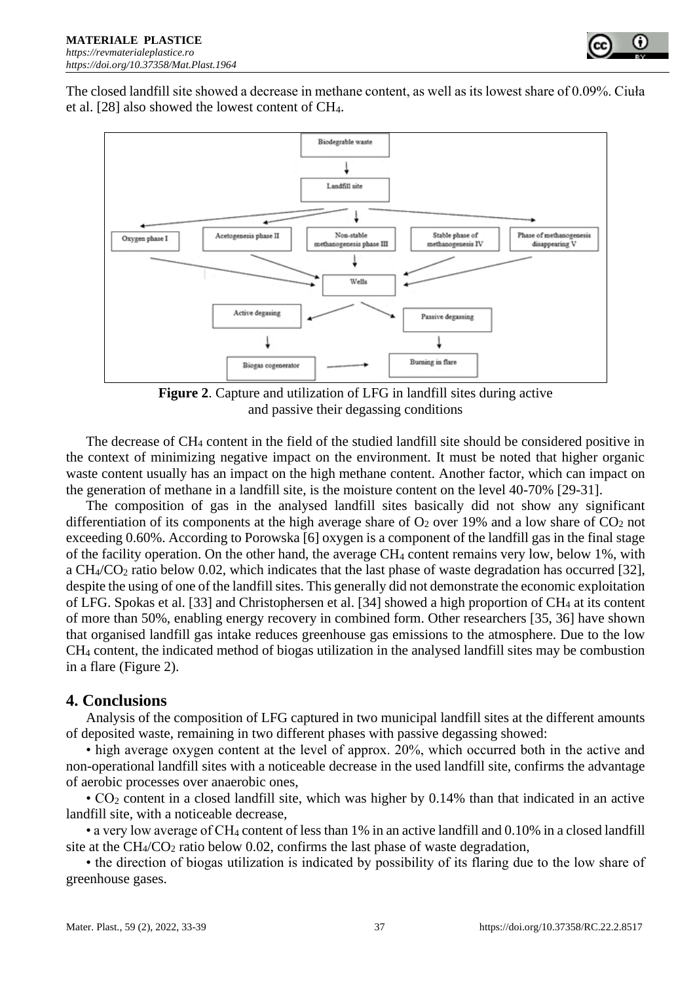The closed landfill site showed a decrease in methane content, as well as its lowest share of 0.09%. Ciuła et al. [28] also showed the lowest content of CH4.



**Figure 2**. Capture and utilization of LFG in landfill sites during active and passive their degassing conditions

The decrease of CH<sup>4</sup> content in the field of the studied landfill site should be considered positive in the context of minimizing negative impact on the environment. It must be noted that higher organic waste content usually has an impact on the high methane content. Another factor, which can impact on the generation of methane in a landfill site, is the moisture content on the level 40-70% [29-31].

The composition of gas in the analysed landfill sites basically did not show any significant differentiation of its components at the high average share of  $O_2$  over 19% and a low share of  $CO_2$  not exceeding 0.60%. According to Porowska [6] oxygen is a component of the landfill gas in the final stage of the facility operation. On the other hand, the average CH<sup>4</sup> content remains very low, below 1%, with a CH4/CO<sup>2</sup> ratio below 0.02, which indicates that the last phase of waste degradation has occurred [32], despite the using of one of the landfill sites. This generally did not demonstrate the economic exploitation of LFG. Spokas et al. [33] and Christophersen et al. [34] showed a high proportion of CH<sup>4</sup> at its content of more than 50%, enabling energy recovery in combined form. Other researchers [35, 36] have shown that organised landfill gas intake reduces greenhouse gas emissions to the atmosphere. Due to the low CH<sup>4</sup> content, the indicated method of biogas utilization in the analysed landfill sites may be combustion in a flare (Figure 2).

## **4. Conclusions**

Analysis of the composition of LFG captured in two municipal landfill sites at the different amounts of deposited waste, remaining in two different phases with passive degassing showed:

• high average oxygen content at the level of approx. 20%, which occurred both in the active and non-operational landfill sites with a noticeable decrease in the used landfill site, confirms the advantage of aerobic processes over anaerobic ones,

•  $CO<sub>2</sub>$  content in a closed landfill site, which was higher by 0.14% than that indicated in an active landfill site, with a noticeable decrease,

• a very low average of CH<sup>4</sup> content of less than 1% in an active landfill and 0.10% in a closed landfill site at the  $CH_4/CO_2$  ratio below 0.02, confirms the last phase of waste degradation,

• the direction of biogas utilization is indicated by possibility of its flaring due to the low share of greenhouse gases.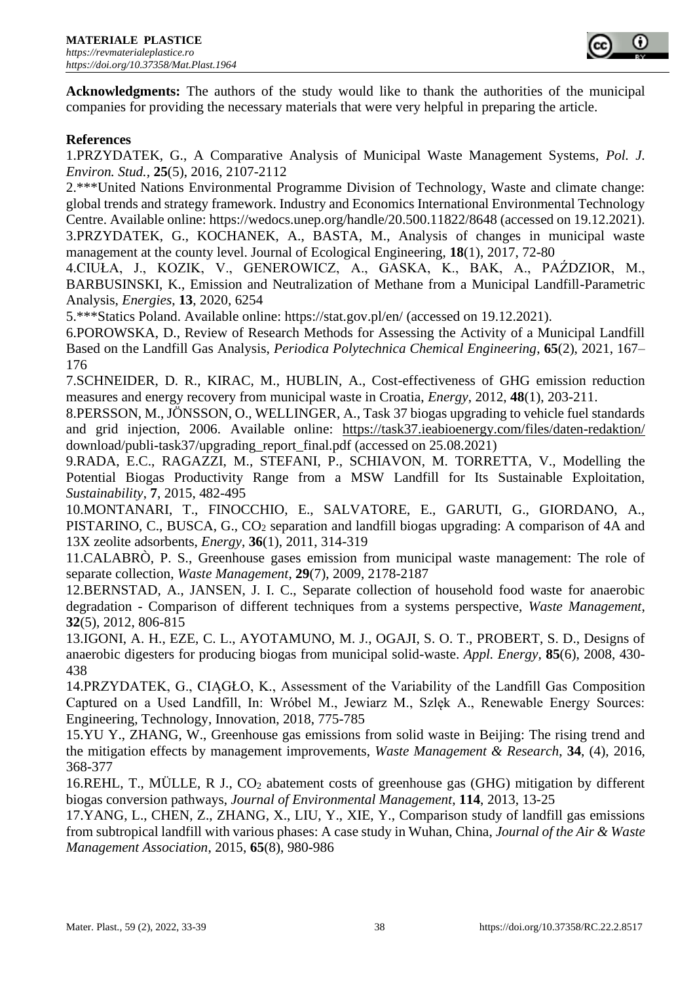

**Acknowledgments:** The authors of the study would like to thank the authorities of the municipal companies for providing the necessary materials that were very helpful in preparing the article.

## **References**

1.PRZYDATEK, G., A Comparative Analysis of Municipal Waste Management Systems, *Pol. J. Environ. Stud.,* **25**(5), 2016, 2107-2112

2.\*\*\*United Nations Environmental Programme Division of Technology, Waste and climate change: global trends and strategy framework. Industry and Economics International Environmental Technology Centre. Available online: https://wedocs.unep.org/handle/20.500.11822/8648 (accessed on 19.12.2021). 3.PRZYDATEK, G., KOCHANEK, A., BASTA, M., Analysis of changes in municipal waste management at the county level. Journal of Ecological Engineering, **18**(1), 2017, 72-80

4.CIUŁA, J., KOZIK, V., GENEROWICZ, A., GASKA, K., BAK, A., PAŹDZIOR, M., BARBUSINSKI, K., Emission and Neutralization of Methane from a Municipal Landfill-Parametric Analysis, *Energies*, **13**, 2020, 6254

5.\*\*\*Statics Poland. Available online: https://stat.gov.pl/en/ (accessed on 19.12.2021).

6.POROWSKA, D., Review of Research Methods for Assessing the Activity of a Municipal Landfill Based on the Landfill Gas Analysis, *Periodica Polytechnica Chemical Engineering*, **65**(2), 2021, 167– 176

7.SCHNEIDER, D. R., KIRAC, M., HUBLIN, A., Cost-effectiveness of GHG emission reduction measures and energy recovery from municipal waste in Croatia, *Energy*, 2012, **48**(1), 203-211.

8.PERSSON, M., JÖNSSON, O., WELLINGER, A., Task 37 biogas upgrading to vehicle fuel standards and grid injection, 2006. Available online: <https://task37.ieabioenergy.com/files/daten-redaktion/> download/publi-task37/upgrading\_report\_final.pdf (accessed on 25.08.2021)

9.RADA, E.C., RAGAZZI, M., STEFANI, P., SCHIAVON, M. TORRETTA, V., Modelling the Potential Biogas Productivity Range from a MSW Landfill for Its Sustainable Exploitation, *Sustainability*, **7**, 2015, 482-495

10.MONTANARI, T., FINOCCHIO, E., SALVATORE, E., GARUTI, G., GIORDANO, A., PISTARINO, C., BUSCA, G., CO<sup>2</sup> separation and landfill biogas upgrading: A comparison of 4A and 13X zeolite adsorbents, *Energy*, **36**(1), 2011, 314-319

11.CALABRÒ, P. S., Greenhouse gases emission from municipal waste management: The role of separate collection, *Waste Management*, **29**(7), 2009, 2178-2187

12.BERNSTAD, A., JANSEN, J. I. C., Separate collection of household food waste for anaerobic degradation - Comparison of different techniques from a systems perspective, *Waste Management*, **32**(5), 2012, 806-815

13.IGONI, A. H., EZE, C. L., AYOTAMUNO, M. J., OGAJI, S. O. T., PROBERT, S. D., Designs of anaerobic digesters for producing biogas from municipal solid-waste. *Appl. Energy,* **85**(6), 2008, 430- 438

14.PRZYDATEK, G., CIĄGŁO, K., Assessment of the Variability of the Landfill Gas Composition Captured on a Used Landfill, In: Wróbel M., Jewiarz M., Szlęk A., Renewable Energy Sources: Engineering, Technology, Innovation, 2018, 775-785

15.YU Y., ZHANG, W., Greenhouse gas emissions from solid waste in Beijing: The rising trend and the mitigation effects by management improvements, *Waste Management & Research*, **34**, (4), 2016, 368-377

16.REHL, T., MÜLLE, R J., CO<sup>2</sup> abatement costs of greenhouse gas (GHG) mitigation by different biogas conversion pathways, *Journal of Environmental Management*, **114**, 2013, 13-25

17.YANG, L., CHEN, Z., ZHANG, X., LIU, Y., XIE, Y., Comparison study of landfill gas emissions from subtropical landfill with various phases: A case study in Wuhan, China, *Journal of the Air & Waste Management Association*, 2015, **65**(8), 980-986